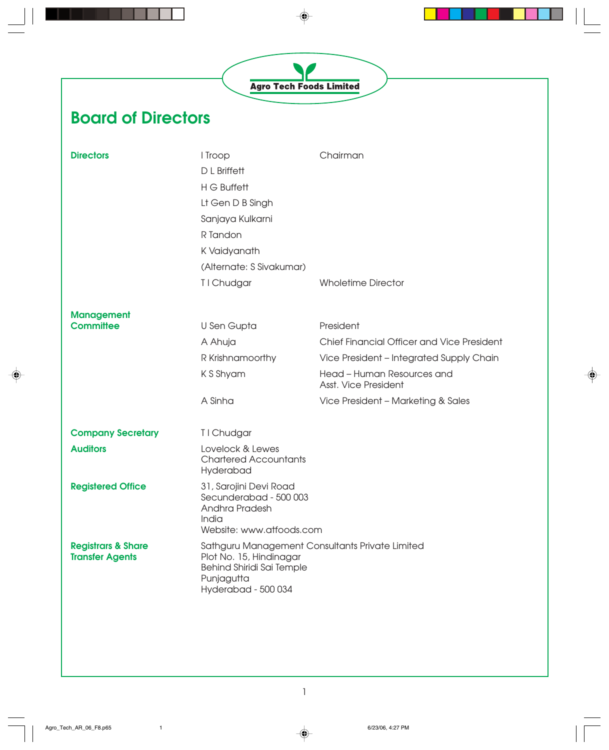◈

## **Board of Directors**

| <b>Directors</b>                                        | I Troop<br>D L Briffett<br>H G Buffett<br>Lt Gen D B Singh<br>Sanjaya Kulkarni<br>R Tandon<br>K Vaidyanath<br>(Alternate: S Sivakumar) | Chairman                                           |
|---------------------------------------------------------|----------------------------------------------------------------------------------------------------------------------------------------|----------------------------------------------------|
|                                                         | T I Chudgar                                                                                                                            | <b>Wholetime Director</b>                          |
| <b>Management</b>                                       |                                                                                                                                        |                                                    |
| <b>Committee</b>                                        | U Sen Gupta                                                                                                                            | President                                          |
|                                                         | A Ahuja                                                                                                                                | Chief Financial Officer and Vice President         |
|                                                         | R Krishnamoorthy                                                                                                                       | Vice President - Integrated Supply Chain           |
|                                                         | K S Shyam                                                                                                                              | Head - Human Resources and<br>Asst. Vice President |
|                                                         | A Sinha                                                                                                                                | Vice President - Marketing & Sales                 |
| <b>Company Secretary</b>                                | T I Chudgar                                                                                                                            |                                                    |
| <b>Auditors</b>                                         | Lovelock & Lewes<br><b>Chartered Accountants</b><br>Hyderabad                                                                          |                                                    |
| <b>Registered Office</b>                                | 31, Sarojini Devi Road<br>Secunderabad - 500 003<br>Andhra Pradesh<br>India<br>Website: www.atfoods.com                                |                                                    |
| <b>Registrars &amp; Share</b><br><b>Transfer Agents</b> | Plot No. 15, Hindinagar<br>Behind Shiridi Sai Temple<br>Punjagutta<br>Hyderabad - 500 034                                              | Sathguru Management Consultants Private Limited    |

◈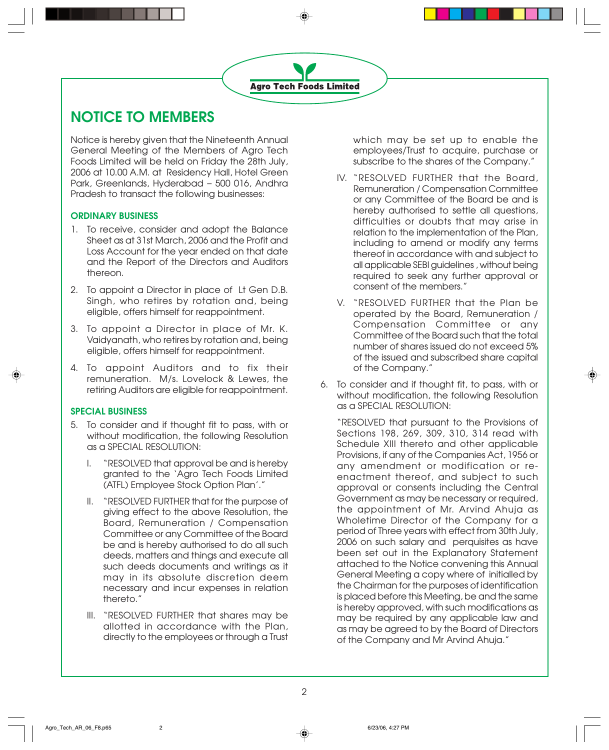### **NOTICE TO MEMBERS**

Notice is hereby given that the Nineteenth Annual General Meeting of the Members of Agro Tech Foods Limited will be held on Friday the 28th July, 2006 at 10.00 A.M. at Residency Hall, Hotel Green Park, Greenlands, Hyderabad – 500 016, Andhra Pradesh to transact the following businesses:

#### **ORDINARY BUSINESS**

- 1. To receive, consider and adopt the Balance Sheet as at 31st March, 2006 and the Profit and Loss Account for the year ended on that date and the Report of the Directors and Auditors thereon.
- 2. To appoint a Director in place of Lt Gen D.B. Singh, who retires by rotation and, being eligible, offers himself for reappointment.
- 3. To appoint a Director in place of Mr. K. Vaidyanath, who retires by rotation and, being eligible, offers himself for reappointment.
- 4. To appoint Auditors and to fix their remuneration. M/s. Lovelock & Lewes, the retiring Auditors are eligible for reappointment.

#### **SPECIAL BUSINESS**

- 5. To consider and if thought fit to pass, with or without modification, the following Resolution as a SPECIAL RESOLUTION:
	- I. "RESOLVED that approval be and is hereby granted to the 'Agro Tech Foods Limited (ATFL) Employee Stock Option Plan'."
	- II. "RESOLVED FURTHER that for the purpose of giving effect to the above Resolution, the Board, Remuneration / Compensation Committee or any Committee of the Board be and is hereby authorised to do all such deeds, matters and things and execute all such deeds documents and writings as it may in its absolute discretion deem necessary and incur expenses in relation thereto."
	- III. "RESOLVED FURTHER that shares may be allotted in accordance with the Plan, directly to the employees or through a Trust

which may be set up to enable the employees/Trust to acquire, purchase or subscribe to the shares of the Company."

- IV. "RESOLVED FURTHER that the Board, Remuneration / Compensation Committee or any Committee of the Board be and is hereby authorised to settle all questions, difficulties or doubts that may arise in relation to the implementation of the Plan, including to amend or modify any terms thereof in accordance with and subject to all applicable SEBI guidelines , without being required to seek any further approval or consent of the members."
- V. "RESOLVED FURTHER that the Plan be operated by the Board, Remuneration / Compensation Committee or any Committee of the Board such that the total number of shares issued do not exceed 5% of the issued and subscribed share capital of the Company."
- 6. To consider and if thought fit, to pass, with or without modification, the following Resolution as a SPECIAL RESOLUTION:

"RESOLVED that pursuant to the Provisions of Sections 198, 269, 309, 310, 314 read with Schedule XIII thereto and other applicable Provisions, if any of the Companies Act, 1956 or any amendment or modification or reenactment thereof, and subject to such approval or consents including the Central Government as may be necessary or required, the appointment of Mr. Arvind Ahuja as Wholetime Director of the Company for a period of Three years with effect from 30th July, 2006 on such salary and perquisites as have been set out in the Explanatory Statement attached to the Notice convening this Annual General Meeting a copy where of initialled by the Chairman for the purposes of identification is placed before this Meeting, be and the same is hereby approved, with such modifications as may be required by any applicable law and as may be agreed to by the Board of Directors of the Company and Mr Arvind Ahuja."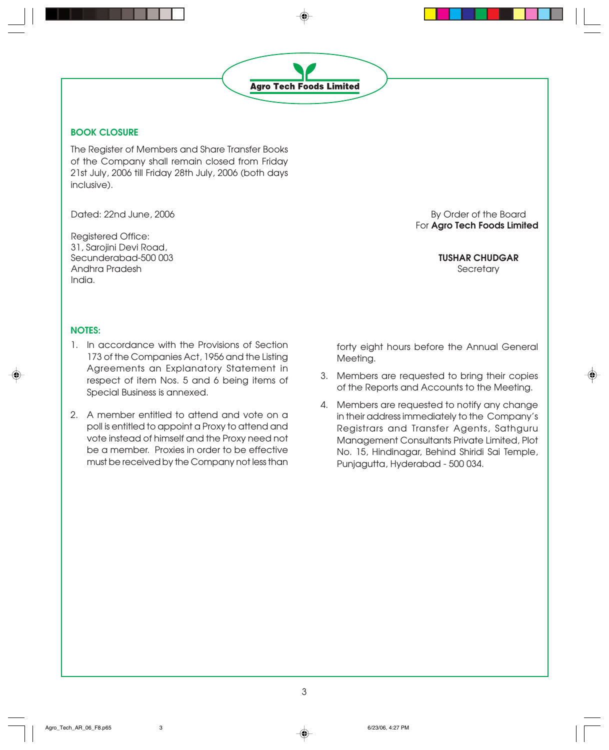

#### **BOOK CLOSURE**

The Register of Members and Share Transfer Books of the Company shall remain closed from Friday 21st July, 2006 till Friday 28th July, 2006 (both days inclusive).

Registered Office: 31, Sarojini Devi Road, Secunderabad-500 003 **TUSHAR CHUDGAR** Andhra Pradesh Secretary India.

Dated: 22nd June, 2006 By Order of the Board For **Agro Tech Foods Limited**

#### **NOTES:**

- 1. In accordance with the Provisions of Section 173 of the Companies Act, 1956 and the Listing Agreements an Explanatory Statement in respect of item Nos. 5 and 6 being items of Special Business is annexed.
- 2. A member entitled to attend and vote on a poll is entitled to appoint a Proxy to attend and vote instead of himself and the Proxy need not be a member. Proxies in order to be effective must be received by the Company not less than

forty eight hours before the Annual General Meeting.

- 3. Members are requested to bring their copies of the Reports and Accounts to the Meeting.
- 4. Members are requested to notify any change in their address immediately to the Company's Registrars and Transfer Agents, Sathguru Management Consultants Private Limited, Plot No. 15, Hindinagar, Behind Shiridi Sai Temple, Punjagutta, Hyderabad - 500 034.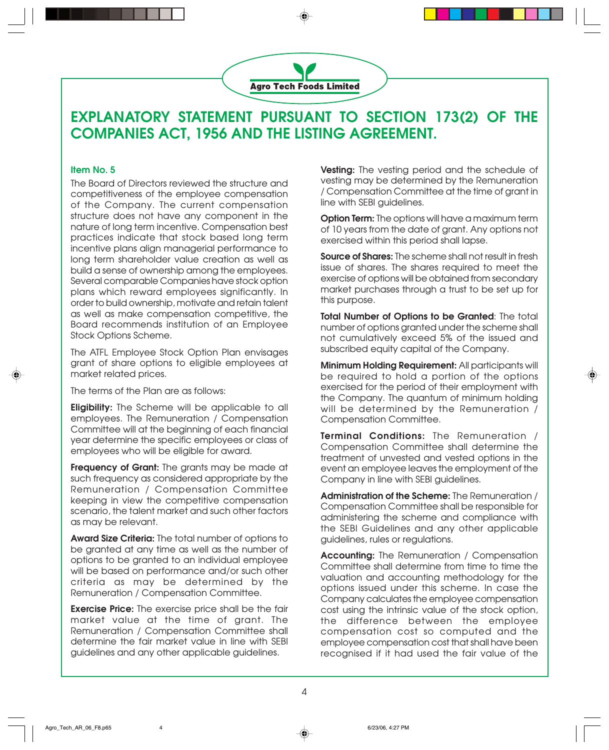

### **EXPLANATORY STATEMENT PURSUANT TO SECTION 173(2) OF THE COMPANIES ACT, 1956 AND THE LISTING AGREEMENT.**

#### **Item No. 5**

The Board of Directors reviewed the structure and competitiveness of the employee compensation of the Company. The current compensation structure does not have any component in the nature of long term incentive. Compensation best practices indicate that stock based long term incentive plans align managerial performance to long term shareholder value creation as well as build a sense of ownership among the employees. Several comparable Companies have stock option plans which reward employees significantly. In order to build ownership, motivate and retain talent as well as make compensation competitive, the Board recommends institution of an Employee Stock Options Scheme.

The ATFL Employee Stock Option Plan envisages grant of share options to eligible employees at market related prices.

The terms of the Plan are as follows:

**Eligibility:** The Scheme will be applicable to all employees. The Remuneration / Compensation Committee will at the beginning of each financial year determine the specific employees or class of employees who will be eligible for award.

**Frequency of Grant:** The grants may be made at such frequency as considered appropriate by the Remuneration / Compensation Committee keeping in view the competitive compensation scenario, the talent market and such other factors as may be relevant.

**Award Size Criteria:** The total number of options to be granted at any time as well as the number of options to be granted to an individual employee will be based on performance and/or such other criteria as may be determined by the Remuneration / Compensation Committee.

**Exercise Price:** The exercise price shall be the fair market value at the time of grant. The Remuneration / Compensation Committee shall determine the fair market value in line with SEBI guidelines and any other applicable guidelines.

**Vesting:** The vesting period and the schedule of vesting may be determined by the Remuneration / Compensation Committee at the time of grant in line with SEBI guidelines.

**Option Term:** The options will have a maximum term of 10 years from the date of grant. Any options not exercised within this period shall lapse.

**Source of Shares:** The scheme shall not result in fresh issue of shares. The shares required to meet the exercise of options will be obtained from secondary market purchases through a trust to be set up for this purpose.

**Total Number of Options to be Granted**: The total number of options granted under the scheme shall not cumulatively exceed 5% of the issued and subscribed equity capital of the Company.

**Minimum Holding Requirement:** All participants will be required to hold a portion of the options exercised for the period of their employment with the Company. The quantum of minimum holding will be determined by the Remuneration / Compensation Committee.

**Terminal Conditions:** The Remuneration / Compensation Committee shall determine the treatment of unvested and vested options in the event an employee leaves the employment of the Company in line with SEBI guidelines.

**Administration of the Scheme:** The Remuneration / Compensation Committee shall be responsible for administering the scheme and compliance with the SEBI Guidelines and any other applicable guidelines, rules or regulations.

**Accounting:** The Remuneration / Compensation Committee shall determine from time to time the valuation and accounting methodology for the options issued under this scheme. In case the Company calculates the employee compensation cost using the intrinsic value of the stock option, the difference between the employee compensation cost so computed and the employee compensation cost that shall have been recognised if it had used the fair value of the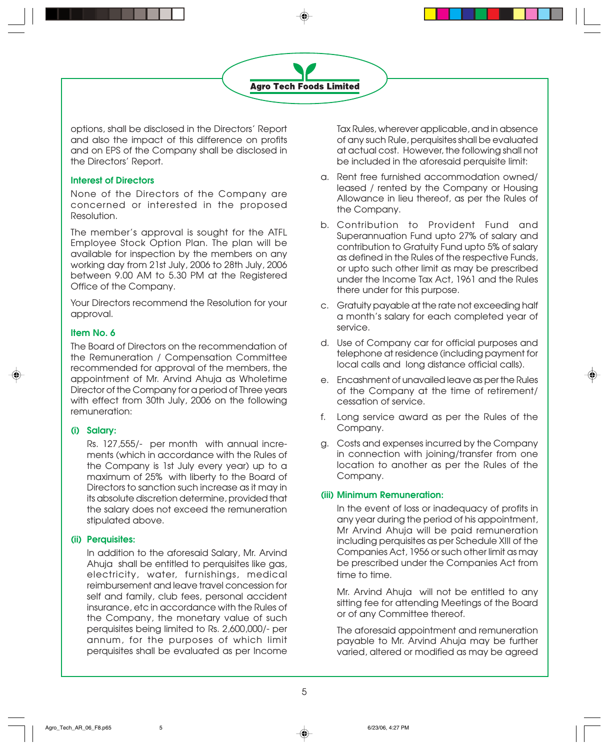

options, shall be disclosed in the Directors' Report and also the impact of this difference on profits and on EPS of the Company shall be disclosed in the Directors' Report.

#### **Interest of Directors**

None of the Directors of the Company are concerned or interested in the proposed Resolution.

The member's approval is sought for the ATFL Employee Stock Option Plan. The plan will be available for inspection by the members on any working day from 21st July, 2006 to 28th July, 2006 between 9.00 AM to 5.30 PM at the Registered Office of the Company.

Your Directors recommend the Resolution for your approval.

#### **Item No. 6**

The Board of Directors on the recommendation of the Remuneration / Compensation Committee recommended for approval of the members, the appointment of Mr. Arvind Ahuja as Wholetime Director of the Company for a period of Three years with effect from 30th July, 2006 on the following remuneration:

#### **(i) Salary:**

Rs. 127,555/- per month with annual increments (which in accordance with the Rules of the Company is 1st July every year) up to a maximum of 25% with liberty to the Board of Directors to sanction such increase as it may in its absolute discretion determine, provided that the salary does not exceed the remuneration stipulated above.

#### **(ii) Perquisites:**

In addition to the aforesaid Salary, Mr. Arvind Ahuja shall be entitled to perquisites like gas, electricity, water, furnishings, medical reimbursement and leave travel concession for self and family, club fees, personal accident insurance, etc in accordance with the Rules of the Company, the monetary value of such perquisites being limited to Rs. 2,600,000/- per annum, for the purposes of which limit perquisites shall be evaluated as per Income

Tax Rules, wherever applicable, and in absence of any such Rule, perquisites shall be evaluated at actual cost. However, the following shall not be included in the aforesaid perquisite limit:

- a. Rent free furnished accommodation owned/ leased / rented by the Company or Housing Allowance in lieu thereof, as per the Rules of the Company.
- b. Contribution to Provident Fund and Superannuation Fund upto 27% of salary and contribution to Gratuity Fund upto 5% of salary as defined in the Rules of the respective Funds, or upto such other limit as may be prescribed under the Income Tax Act, 1961 and the Rules there under for this purpose.
- c. Gratuity payable at the rate not exceeding half a month's salary for each completed year of service.
- d. Use of Company car for official purposes and telephone at residence (including payment for local calls and long distance official calls).
- e. Encashment of unavailed leave as per the Rules of the Company at the time of retirement/ cessation of service.
- f. Long service award as per the Rules of the Company.
- g. Costs and expenses incurred by the Company in connection with joining/transfer from one location to another as per the Rules of the Company.

#### **(iii) Minimum Remuneration:**

In the event of loss or inadequacy of profits in any year during the period of his appointment, Mr Arvind Ahuja will be paid remuneration including perquisites as per Schedule XIII of the Companies Act, 1956 or such other limit as may be prescribed under the Companies Act from time to time.

Mr. Arvind Ahuja will not be entitled to any sitting fee for attending Meetings of the Board or of any Committee thereof.

The aforesaid appointment and remuneration payable to Mr. Arvind Ahuja may be further varied, altered or modified as may be agreed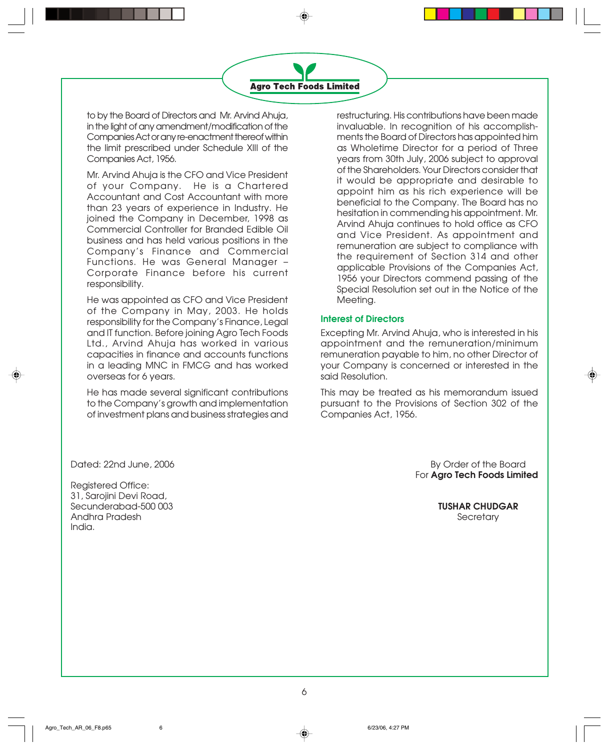

to by the Board of Directors and Mr. Arvind Ahuja, in the light of any amendment/modification of the Companies Act or any re-enactment thereof within the limit prescribed under Schedule XIII of the Companies Act, 1956.

Mr. Arvind Ahuja is the CFO and Vice President of your Company. He is a Chartered Accountant and Cost Accountant with more than 23 years of experience in Industry. He joined the Company in December, 1998 as Commercial Controller for Branded Edible Oil business and has held various positions in the Company's Finance and Commercial Functions. He was General Manager – Corporate Finance before his current responsibility.

He was appointed as CFO and Vice President of the Company in May, 2003. He holds responsibility for the Company's Finance, Legal and IT function. Before joining Agro Tech Foods Ltd., Arvind Ahuja has worked in various capacities in finance and accounts functions in a leading MNC in FMCG and has worked overseas for 6 years.

He has made several significant contributions to the Company's growth and implementation of investment plans and business strategies and restructuring. His contributions have been made invaluable. In recognition of his accomplishments the Board of Directors has appointed him as Wholetime Director for a period of Three years from 30th July, 2006 subject to approval of the Shareholders. Your Directors consider that it would be appropriate and desirable to appoint him as his rich experience will be beneficial to the Company. The Board has no hesitation in commending his appointment. Mr. Arvind Ahuja continues to hold office as CFO and Vice President. As appointment and remuneration are subject to compliance with the requirement of Section 314 and other applicable Provisions of the Companies Act, 1956 your Directors commend passing of the Special Resolution set out in the Notice of the Meeting.

#### **Interest of Directors**

Excepting Mr. Arvind Ahuja, who is interested in his appointment and the remuneration/minimum remuneration payable to him, no other Director of your Company is concerned or interested in the said Resolution.

This may be treated as his memorandum issued pursuant to the Provisions of Section 302 of the Companies Act, 1956.

Dated: 22nd June, 2006 By Order of the Board

Registered Office: 31, Sarojini Devi Road, Secunderabad-500 003 **TUSHAR CHUDGAR** Andhra Pradesh Secretary (1999), and the secretary of the secretary of the secretary of the secretary of the secretary of the secretary of the secretary of the secretary of the secretary of the secretary of the secretary o India.

For **Agro Tech Foods Limited**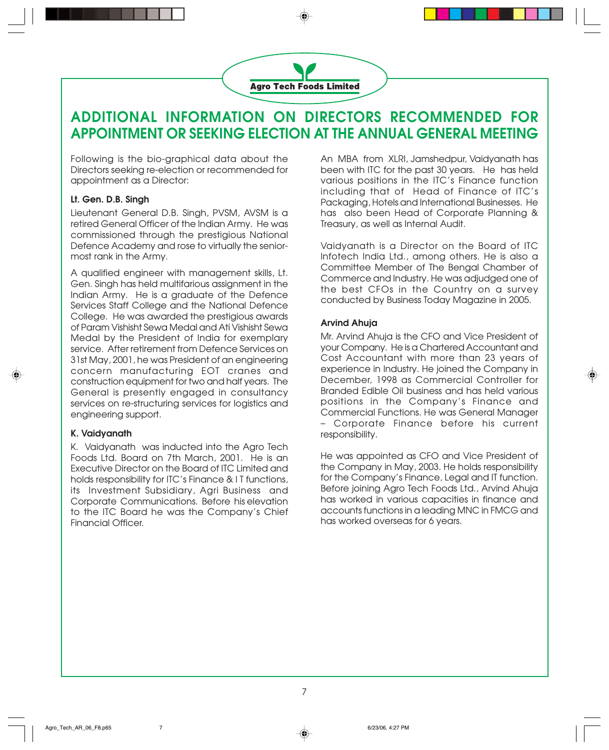

## **ADDITIONAL INFORMATION ON DIRECTORS RECOMMENDED FOR APPOINTMENT OR SEEKING ELECTION AT THE ANNUAL GENERAL MEETING**

Following is the bio-graphical data about the Directors seeking re-election or recommended for appointment as a Director:

#### **Lt. Gen. D.B. Singh**

Lieutenant General D.B. Singh, PVSM, AVSM is a retired General Officer of the Indian Army. He was commissioned through the prestigious National Defence Academy and rose to virtually the seniormost rank in the Army.

A qualified engineer with management skills, Lt. Gen. Singh has held multifarious assignment in the Indian Army. He is a graduate of the Defence Services Staff College and the National Defence College. He was awarded the prestigious awards of Param Vishisht Sewa Medal and Ati Vishisht Sewa Medal by the President of India for exemplary service. After retirement from Defence Services on 31st May, 2001, he was President of an engineering concern manufacturing EOT cranes and construction equipment for two and half years. The General is presently engaged in consultancy services on re-structuring services for logistics and engineering support.

#### **K. Vaidyanath**

K. Vaidyanath was inducted into the Agro Tech Foods Ltd. Board on 7th March, 2001. He is an Executive Director on the Board of ITC Limited and holds responsibility for ITC's Finance & I T functions, its Investment Subsidiary, Agri Business and Corporate Communications. Before his elevation to the ITC Board he was the Company's Chief Financial Officer.

An MBA from XLRI, Jamshedpur, Vaidyanath has been with ITC for the past 30 years. He has held various positions in the ITC's Finance function including that of Head of Finance of ITC's Packaging, Hotels and International Businesses. He has also been Head of Corporate Planning & Treasury, as well as Internal Audit.

Vaidyanath is a Director on the Board of ITC Infotech India Ltd., among others. He is also a Committee Member of The Bengal Chamber of Commerce and Industry. He was adjudged one of the best CFOs in the Country on a survey conducted by Business Today Magazine in 2005.

#### **Arvind Ahuja**

Mr. Arvind Ahuja is the CFO and Vice President of your Company. He is a Chartered Accountant and Cost Accountant with more than 23 years of experience in Industry. He joined the Company in December, 1998 as Commercial Controller for Branded Edible Oil business and has held various positions in the Company's Finance and Commercial Functions. He was General Manager – Corporate Finance before his current responsibility.

He was appointed as CFO and Vice President of the Company in May, 2003. He holds responsibility for the Company's Finance, Legal and IT function. Before joining Agro Tech Foods Ltd., Arvind Ahuja has worked in various capacities in finance and accounts functions in a leading MNC in FMCG and has worked overseas for 6 years.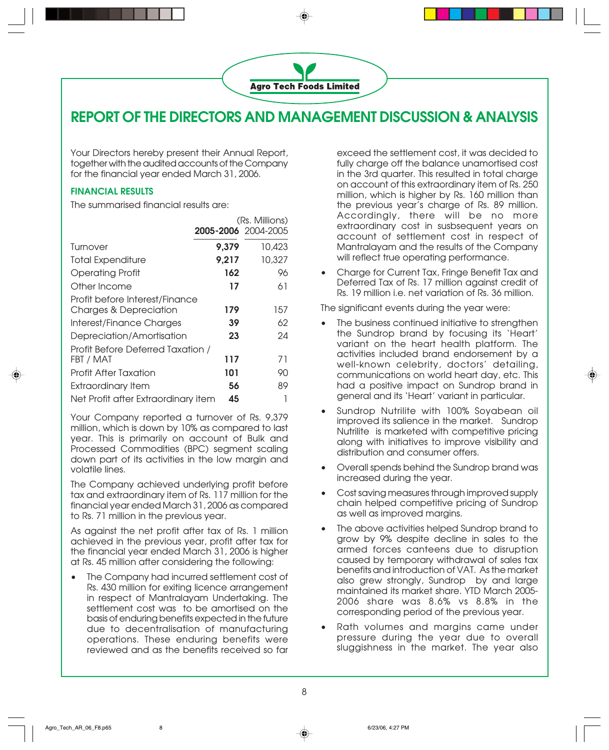

### **REPORT OF THE DIRECTORS AND MANAGEMENT DISCUSSION & ANALYSIS**

Your Directors hereby present their Annual Report, together with the audited accounts of the Company for the financial year ended March 31, 2006.

#### **FINANCIAL RESULTS**

The summarised financial results are:

|                                                                                                                                             | <b>2005-2006</b> 2004-2005 | (Rs. Millions) |
|---------------------------------------------------------------------------------------------------------------------------------------------|----------------------------|----------------|
| Turnover                                                                                                                                    | 9,379                      | 10,423         |
| <b>Total Expenditure</b>                                                                                                                    | 9,217                      | 10,327         |
| <b>Operating Profit</b>                                                                                                                     | 162                        | 96             |
| Other Income                                                                                                                                | 17                         | 61             |
| Profit before Interest/Finance<br><b>Charges &amp; Depreciation</b>                                                                         | 179                        | 157            |
| Interest/Finance Charges                                                                                                                    | 39                         | 62             |
| Depreciation/Amortisation                                                                                                                   | 23                         | 24             |
| Profit Before Deferred Taxation /<br>FBT / MAT<br><b>Profit After Taxation</b><br>Extraordinary Item<br>Net Profit after Extraordinary item | 117<br>101<br>56<br>45     | 71<br>90<br>89 |
|                                                                                                                                             |                            |                |

Your Company reported a turnover of Rs. 9,379 million, which is down by 10% as compared to last year. This is primarily on account of Bulk and Processed Commodities (BPC) segment scaling down part of its activities in the low margin and volatile lines.

The Company achieved underlying profit before tax and extraordinary item of Rs. 117 million for the financial year ended March 31, 2006 as compared to Rs. 71 million in the previous year.

As against the net profit after tax of Rs. 1 million achieved in the previous year, profit after tax for the financial year ended March 31, 2006 is higher at Rs. 45 million after considering the following:

• The Company had incurred settlement cost of Rs. 430 million for exiting licence arrangement in respect of Mantralayam Undertaking. The settlement cost was to be amortised on the basis of enduring benefits expected in the future due to decentralisation of manufacturing operations. These enduring benefits were reviewed and as the benefits received so far

exceed the settlement cost, it was decided to fully charge off the balance unamortised cost in the 3rd quarter. This resulted in total charge on account of this extraordinary item of Rs. 250 million, which is higher by Rs. 160 million than the previous year's charge of Rs. 89 million. Accordingly, there will be no more extraordinary cost in susbsequent years on account of settlement cost in respect of Mantralayam and the results of the Company will reflect true operating performance.

• Charge for Current Tax, Fringe Benefit Tax and Deferred Tax of Rs. 17 million against credit of Rs. 19 million i.e. net variation of Rs. 36 million.

The significant events during the year were:

- The business continued initiative to strengthen the Sundrop brand by focusing its 'Heart' variant on the heart health platform. The activities included brand endorsement by a well-known celebrity, doctors' detailing, communications on world heart day, etc. This had a positive impact on Sundrop brand in general and its 'Heart' variant in particular.
- Sundrop Nutrilite with 100% Soyabean oil improved its salience in the market. Sundrop Nutrilite is marketed with competitive pricing along with initiatives to improve visibility and distribution and consumer offers.
- Overall spends behind the Sundrop brand was increased during the year.
- Cost saving measures through improved supply chain helped competitive pricing of Sundrop as well as improved margins.
- The above activities helped Sundrop brand to grow by 9% despite decline in sales to the armed forces canteens due to disruption caused by temporary withdrawal of sales tax benefits and introduction of VAT. As the market also grew strongly, Sundrop by and large maintained its market share. YTD March 2005- 2006 share was 8.6% vs 8.8% in the corresponding period of the previous year.
- Rath volumes and margins came under pressure during the year due to overall sluggishness in the market. The year also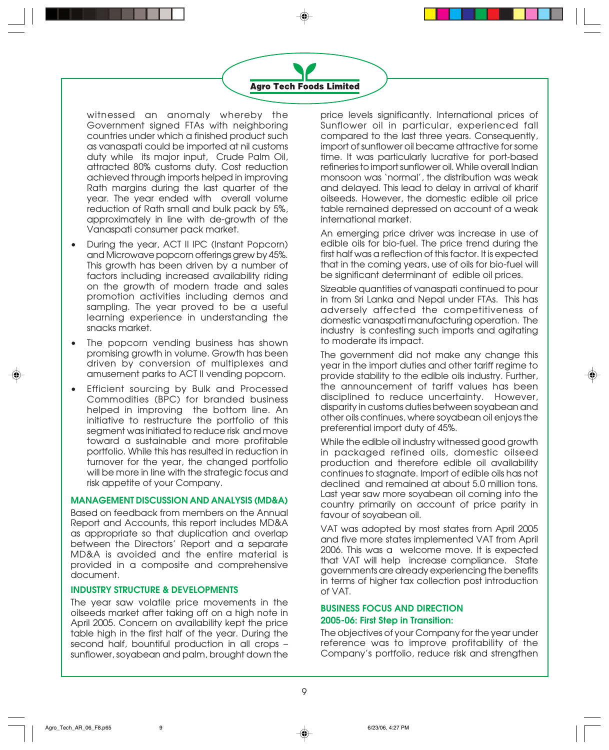

witnessed an anomaly whereby the Government signed FTAs with neighboring countries under which a finished product such as vanaspati could be imported at nil customs duty while its major input, Crude Palm Oil, attracted 80% customs duty. Cost reduction achieved through imports helped in improving Rath margins during the last quarter of the year. The year ended with overall volume reduction of Rath small and bulk pack by 5%, approximately in line with de-growth of the Vanaspati consumer pack market.

- During the year, ACT II IPC (Instant Popcorn) and Microwave popcorn offerings grew by 45%. This growth has been driven by a number of factors including increased availability riding on the growth of modern trade and sales promotion activities including demos and sampling. The year proved to be a useful learning experience in understanding the snacks market.
- The popcorn vending business has shown promising growth in volume. Growth has been driven by conversion of multiplexes and amusement parks to ACT II vending popcorn.
- Efficient sourcing by Bulk and Processed Commodities (BPC) for branded business helped in improving the bottom line. An initiative to restructure the portfolio of this segment was initiated to reduce risk and move toward a sustainable and more profitable portfolio. While this has resulted in reduction in turnover for the year, the changed portfolio will be more in line with the strategic focus and risk appetite of your Company.

#### **MANAGEMENT DISCUSSION AND ANALYSIS (MD&A)**

Based on feedback from members on the Annual Report and Accounts, this report includes MD&A as appropriate so that duplication and overlap between the Directors' Report and a separate MD&A is avoided and the entire material is provided in a composite and comprehensive document.

#### **INDUSTRY STRUCTURE & DEVELOPMENTS**

The year saw volatile price movements in the oilseeds market after taking off on a high note in April 2005. Concern on availability kept the price table high in the first half of the year. During the second half, bountiful production in all crops – sunflower, soyabean and palm, brought down the price levels significantly. International prices of Sunflower oil in particular, experienced fall compared to the last three years. Consequently, import of sunflower oil became attractive for some time. It was particularly lucrative for port-based refineries to import sunflower oil. While overall Indian monsoon was 'normal', the distribution was weak and delayed. This lead to delay in arrival of kharif oilseeds. However, the domestic edible oil price table remained depressed on account of a weak international market.

An emerging price driver was increase in use of edible oils for bio-fuel. The price trend during the first half was a reflection of this factor. It is expected that in the coming years, use of oils for bio-fuel will be significant determinant of edible oil prices.

Sizeable quantities of vanaspati continued to pour in from Sri Lanka and Nepal under FTAs. This has adversely affected the competitiveness of domestic vanaspati manufacturing operation. The industry is contesting such imports and agitating to moderate its impact.

The government did not make any change this year in the import duties and other tariff regime to provide stability to the edible oils industry. Further, the announcement of tariff values has been disciplined to reduce uncertainty. However, disparity in customs duties between soyabean and other oils continues, where soyabean oil enjoys the preferential import duty of 45%.

While the edible oil industry witnessed good growth in packaged refined oils, domestic oilseed production and therefore edible oil availability continues to stagnate. Import of edible oils has not declined and remained at about 5.0 million tons. Last year saw more soyabean oil coming into the country primarily on account of price parity in favour of soyabean oil.

VAT was adopted by most states from April 2005 and five more states implemented VAT from April 2006. This was a welcome move. It is expected that VAT will help increase compliance. State governments are already experiencing the benefits in terms of higher tax collection post introduction of VAT.

#### **BUSINESS FOCUS AND DIRECTION 2005-06: First Step in Transition:**

The objectives of your Company for the year under reference was to improve profitability of the Company's portfolio, reduce risk and strengthen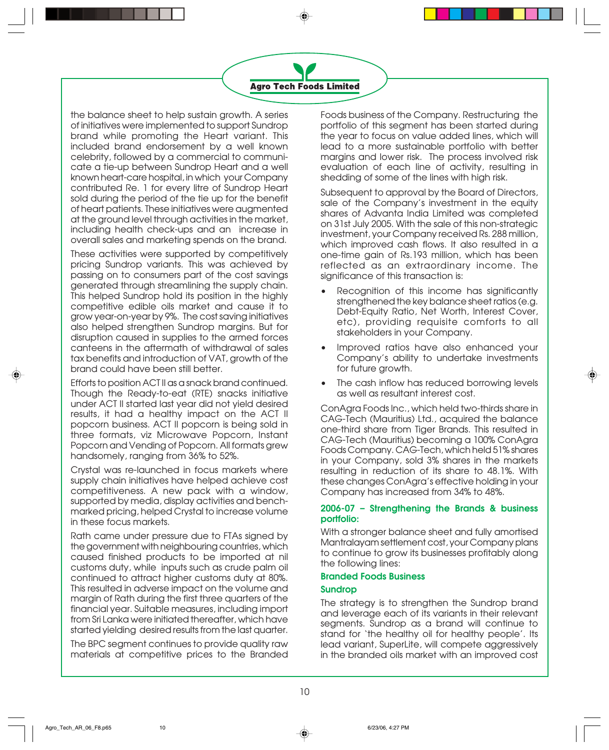

the balance sheet to help sustain growth. A series of initiatives were implemented to support Sundrop brand while promoting the Heart variant. This included brand endorsement by a well known celebrity, followed by a commercial to communicate a tie-up between Sundrop Heart and a well known heart-care hospital, in which your Company contributed Re. 1 for every litre of Sundrop Heart sold during the period of the tie up for the benefit of heart patients. These initiatives were augmented at the ground level through activities in the market, including health check-ups and an increase in overall sales and marketing spends on the brand.

These activities were supported by competitively pricing Sundrop variants. This was achieved by passing on to consumers part of the cost savings generated through streamlining the supply chain. This helped Sundrop hold its position in the highly competitive edible oils market and cause it to grow year-on-year by 9%. The cost saving initiatives also helped strengthen Sundrop margins. But for disruption caused in supplies to the armed forces canteens in the aftermath of withdrawal of sales tax benefits and introduction of VAT, growth of the brand could have been still better.

Efforts to position ACT II as a snack brand continued. Though the Ready-to-eat (RTE) snacks initiative under ACT II started last year did not yield desired results, it had a healthy impact on the ACT II popcorn business. ACT II popcorn is being sold in three formats, viz Microwave Popcorn, Instant Popcorn and Vending of Popcorn. All formats grew handsomely, ranging from 36% to 52%.

Crystal was re-launched in focus markets where supply chain initiatives have helped achieve cost competitiveness. A new pack with a window, supported by media, display activities and benchmarked pricing, helped Crystal to increase volume in these focus markets.

Rath came under pressure due to FTAs signed by the government with neighbouring countries, which caused finished products to be imported at nil customs duty, while inputs such as crude palm oil continued to attract higher customs duty at 80%. This resulted in adverse impact on the volume and margin of Rath during the first three quarters of the financial year. Suitable measures, including import from Sri Lanka were initiated thereafter, which have started yielding desired results from the last quarter.

The BPC segment continues to provide quality raw materials at competitive prices to the Branded Foods business of the Company. Restructuring the portfolio of this segment has been started during the year to focus on value added lines, which will lead to a more sustainable portfolio with better margins and lower risk. The process involved risk evaluation of each line of activity, resulting in shedding of some of the lines with high risk.

Subsequent to approval by the Board of Directors, sale of the Company's investment in the equity shares of Advanta India Limited was completed on 31st July 2005. With the sale of this non-strategic investment, your Company received Rs. 288 million, which improved cash flows. It also resulted in a one-time gain of Rs.193 million, which has been reflected as an extraordinary income. The significance of this transaction is:

- Recognition of this income has significantly strengthened the key balance sheet ratios (e.g. Debt-Equity Ratio, Net Worth, Interest Cover, etc), providing requisite comforts to all stakeholders in your Company.
- Improved ratios have also enhanced your Company's ability to undertake investments for future growth.
- The cash inflow has reduced borrowing levels as well as resultant interest cost.

ConAgra Foods Inc., which held two-thirds share in CAG-Tech (Mauritius) Ltd., acquired the balance one-third share from Tiger Brands. This resulted in CAG-Tech (Mauritius) becoming a 100% ConAgra Foods Company. CAG-Tech, which held 51% shares in your Company, sold 3% shares in the markets resulting in reduction of its share to 48.1%. With these changes ConAgra's effective holding in your Company has increased from 34% to 48%.

#### **2006-07 – Strengthening the Brands & business portfolio:**

With a stronger balance sheet and fully amortised Mantralayam settlement cost, your Company plans to continue to grow its businesses profitably along the following lines:

#### **Branded Foods Business**

#### **Sundrop**

The strategy is to strengthen the Sundrop brand and leverage each of its variants in their relevant segments. Sundrop as a brand will continue to stand for 'the healthy oil for healthy people'. Its lead variant, SuperLite, will compete aggressively in the branded oils market with an improved cost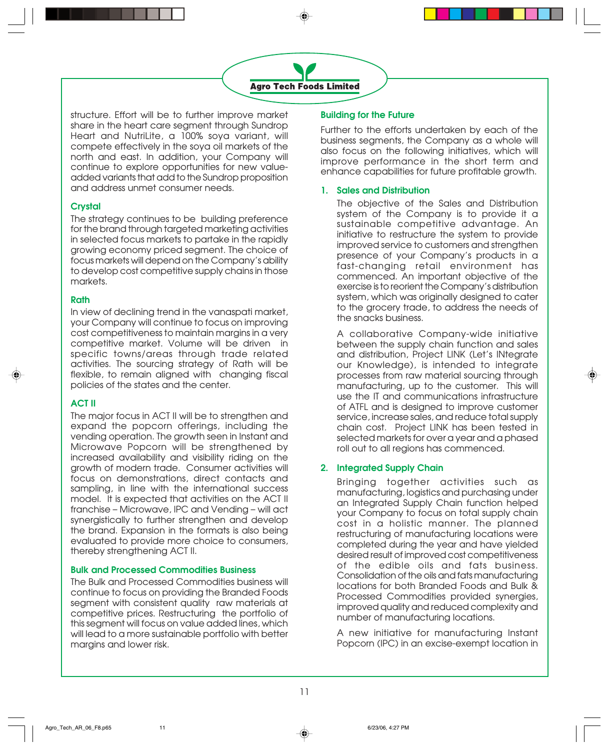

structure. Effort will be to further improve market share in the heart care segment through Sundrop Heart and NutriLite, a 100% soya variant, will compete effectively in the soya oil markets of the north and east. In addition, your Company will continue to explore opportunities for new valueadded variants that add to the Sundrop proposition and address unmet consumer needs.

#### **Crystal**

The strategy continues to be building preference for the brand through targeted marketing activities in selected focus markets to partake in the rapidly growing economy priced segment. The choice of focus markets will depend on the Company's ability to develop cost competitive supply chains in those markets.

#### **Rath**

In view of declining trend in the vanaspati market, your Company will continue to focus on improving cost competitiveness to maintain margins in a very competitive market. Volume will be driven in specific towns/areas through trade related activities. The sourcing strategy of Rath will be flexible, to remain aligned with changing fiscal policies of the states and the center.

#### **ACT II**

The major focus in ACT II will be to strengthen and expand the popcorn offerings, including the vending operation. The growth seen in Instant and Microwave Popcorn will be strengthened by increased availability and visibility riding on the growth of modern trade. Consumer activities will focus on demonstrations, direct contacts and sampling, in line with the international success model. It is expected that activities on the ACT II franchise – Microwave, IPC and Vending – will act synergistically to further strengthen and develop the brand. Expansion in the formats is also being evaluated to provide more choice to consumers, thereby strengthening ACT II.

#### **Bulk and Processed Commodities Business**

The Bulk and Processed Commodities business will continue to focus on providing the Branded Foods segment with consistent quality raw materials at competitive prices. Restructuring the portfolio of this segment will focus on value added lines, which will lead to a more sustainable portfolio with better margins and lower risk.

#### **Building for the Future**

Further to the efforts undertaken by each of the business segments, the Company as a whole will also focus on the following initiatives, which will improve performance in the short term and enhance capabilities for future profitable growth.

#### **1. Sales and Distribution**

The objective of the Sales and Distribution system of the Company is to provide it a sustainable competitive advantage. An initiative to restructure the system to provide improved service to customers and strengthen presence of your Company's products in a fast-changing retail environment has commenced. An important objective of the exercise is to reorient the Company's distribution system, which was originally designed to cater to the grocery trade, to address the needs of the snacks business.

A collaborative Company-wide initiative between the supply chain function and sales and distribution, Project LINK (Let's INtegrate our Knowledge), is intended to integrate processes from raw material sourcing through manufacturing, up to the customer. This will use the IT and communications infrastructure of ATFL and is designed to improve customer service, increase sales, and reduce total supply chain cost. Project LINK has been tested in selected markets for over a year and a phased roll out to all regions has commenced.

#### **2. Integrated Supply Chain**

Bringing together activities such as manufacturing, logistics and purchasing under an Integrated Supply Chain function helped your Company to focus on total supply chain cost in a holistic manner. The planned restructuring of manufacturing locations were completed during the year and have yielded desired result of improved cost competitiveness of the edible oils and fats business. Consolidation of the oils and fats manufacturing locations for both Branded Foods and Bulk & Processed Commodities provided synergies, improved quality and reduced complexity and number of manufacturing locations.

A new initiative for manufacturing Instant Popcorn (IPC) in an excise-exempt location in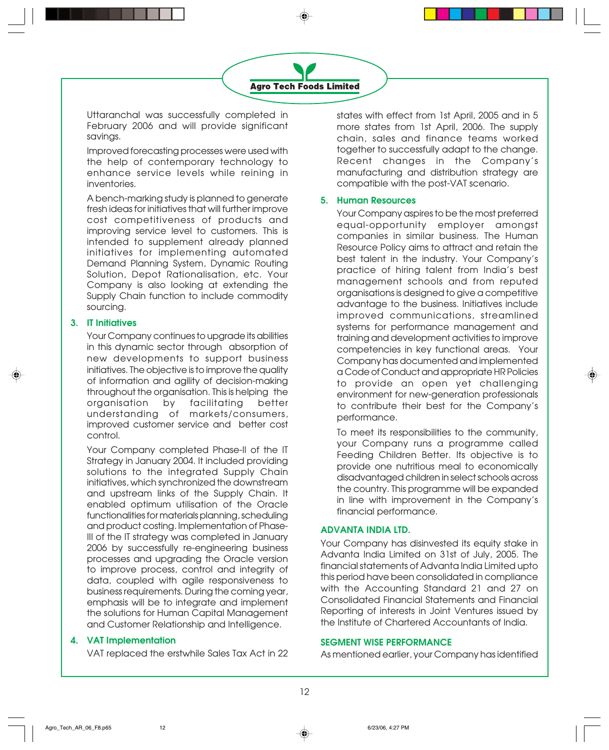Uttaranchal was successfully completed in February 2006 and will provide significant savings.

Improved forecasting processes were used with the help of contemporary technology to enhance service levels while reining in inventories.

A bench-marking study is planned to generate fresh ideas for initiatives that will further improve cost competitiveness of products and improving service level to customers. This is intended to supplement already planned initiatives for implementing automated Demand Planning System, Dynamic Routing Solution, Depot Rationalisation, etc. Your Company is also looking at extending the Supply Chain function to include commodity sourcing.

#### **3. IT Initiatives**

Your Company continues to upgrade its abilities in this dynamic sector through absorption of new developments to support business initiatives. The objective is to improve the quality of information and agility of decision-making throughout the organisation. This is helping the organisation by facilitating better understanding of markets/consumers, improved customer service and better cost control.

Your Company completed Phase-II of the IT Strategy in January 2004. It included providing solutions to the integrated Supply Chain initiatives, which synchronized the downstream and upstream links of the Supply Chain. It enabled optimum utilisation of the Oracle functionalities for materials planning, scheduling and product costing. Implementation of Phase-III of the IT strategy was completed in January 2006 by successfully re-engineering business processes and upgrading the Oracle version to improve process, control and integrity of data, coupled with agile responsiveness to business requirements. During the coming year, emphasis will be to integrate and implement the solutions for Human Capital Management and Customer Relationship and Intelligence.

#### **4. VAT Implementation**

VAT replaced the erstwhile Sales Tax Act in 22

states with effect from 1st April, 2005 and in 5 more states from 1st April, 2006. The supply chain, sales and finance teams worked together to successfully adapt to the change. Recent changes in the Company's manufacturing and distribution strategy are compatible with the post-VAT scenario.

#### **5. Human Resources**

Your Company aspires to be the most preferred equal-opportunity employer amongst companies in similar business. The Human Resource Policy aims to attract and retain the best talent in the industry. Your Company's practice of hiring talent from India's best management schools and from reputed organisations is designed to give a competitive advantage to the business. Initiatives include improved communications, streamlined systems for performance management and training and development activities to improve competencies in key functional areas. Your Company has documented and implemented a Code of Conduct and appropriate HR Policies to provide an open yet challenging environment for new-generation professionals to contribute their best for the Company's performance.

To meet its responsibilities to the community, your Company runs a programme called Feeding Children Better. Its objective is to provide one nutritious meal to economically disadvantaged children in select schools across the country. This programme will be expanded in line with improvement in the Company's financial performance.

#### **ADVANTA INDIA LTD.**

Your Company has disinvested its equity stake in Advanta India Limited on 31st of July, 2005. The financial statements of Advanta India Limited upto this period have been consolidated in compliance with the Accounting Standard 21 and 27 on Consolidated Financial Statements and Financial Reporting of interests in Joint Ventures issued by the Institute of Chartered Accountants of India.

#### **SEGMENT WISE PERFORMANCE**

As mentioned earlier, your Company has identified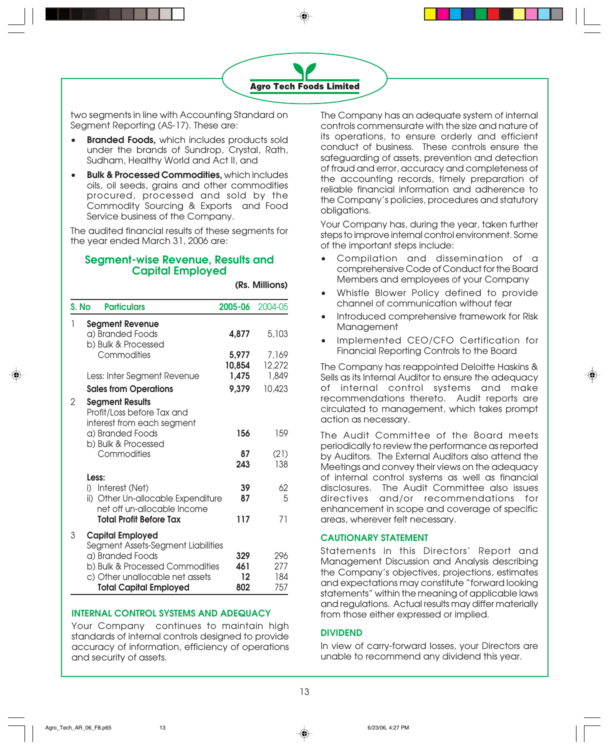

two segments in line with Accounting Standard on Segment Reporting (AS-17). These are:

- **Branded Foods,** which includes products sold under the brands of Sundrop, Crystal, Rath, Sudham, Healthy World and Act II, and
- **Bulk & Processed Commodities,** which includes oils, oil seeds, grains and other commodities procured, processed and sold by the Commodity Sourcing & Exports and Food Service business of the Company.

The audited financial results of these segments for the year ended March 31, 2006 are:

#### **Segment-wise Revenue, Results and Capital Employed**

**(Rs. Millions)**

| S. No | <b>Particulars</b>                                                                                                      | 2005-06                     | 2004-05                  |
|-------|-------------------------------------------------------------------------------------------------------------------------|-----------------------------|--------------------------|
| 1     | <b>Segment Revenue</b><br>a) Branded Foods                                                                              | 4,877                       | 5,103                    |
|       | b) Bulk & Processed<br>Commodities                                                                                      | 5,977<br>10,854             | 7,169<br>12,272          |
|       | Less: Inter Segment Revenue                                                                                             | 1,475                       | 1,849                    |
|       | <b>Sales from Operations</b>                                                                                            | 9,379                       | 10,423                   |
| 2     | <b>Segment Results</b><br>Profit/Loss before Tax and<br>interest from each segment                                      |                             |                          |
|       | a) Branded Foods                                                                                                        | 156                         | 159                      |
|       | b) Bulk & Processed<br>Commodities                                                                                      | 87<br>243                   | (21)<br>138              |
|       | Less:<br>i) Interest (Net)<br>ii) Other Un-allocable Expenditure<br>net off un-allocable Income                         | 39<br>87                    | 62<br>5                  |
|       | <b>Total Profit Before Tax</b>                                                                                          | 117                         | 71                       |
| 3     | <b>Capital Employed</b><br>Segment Assets-Segment Liabilities                                                           |                             |                          |
|       | a) Branded Foods<br>b) Bulk & Processed Commodities<br>c) Other unallocable net assets<br><b>Total Capital Employed</b> | 329<br>461<br>$12 \$<br>802 | 296<br>277<br>184<br>757 |

#### **INTERNAL CONTROL SYSTEMS AND ADEQUACY**

Your Company continues to maintain high standards of internal controls designed to provide accuracy of information, efficiency of operations and security of assets.

The Company has an adequate system of internal controls commensurate with the size and nature of its operations, to ensure orderly and efficient conduct of business. These controls ensure the safeguarding of assets, prevention and detection of fraud and error, accuracy and completeness of the accounting records, timely preparation of reliable financial information and adherence to the Company's policies, procedures and statutory obligations.

Your Company has, during the year, taken further steps to improve internal control environment. Some of the important steps include:

- Compilation and dissemination of a comprehensive Code of Conduct for the Board Members and employees of your Company
- Whistle Blower Policy defined to provide channel of communication without fear
- Introduced comprehensive framework for Risk **Management**
- Implemented CEO/CFO Certification for Financial Reporting Controls to the Board

The Company has reappointed Deloitte Haskins & Sells as its Internal Auditor to ensure the adequacy of internal control systems and make recommendations thereto. Audit reports are circulated to management, which takes prompt action as necessary.

The Audit Committee of the Board meets periodically to review the performance as reported by Auditors. The External Auditors also attend the Meetings and convey their views on the adequacy of internal control systems as well as financial disclosures. The Audit Committee also issues directives and/or recommendations for enhancement in scope and coverage of specific areas, wherever felt necessary.

#### **CAUTIONARY STATEMENT**

Statements in this Directors' Report and Management Discussion and Analysis describing the Company's objectives, projections, estimates and expectations may constitute "forward looking statements" within the meaning of applicable laws and regulations. Actual results may differ materially from those either expressed or implied.

#### **DIVIDEND**

In view of carry-forward losses, your Directors are unable to recommend any dividend this year.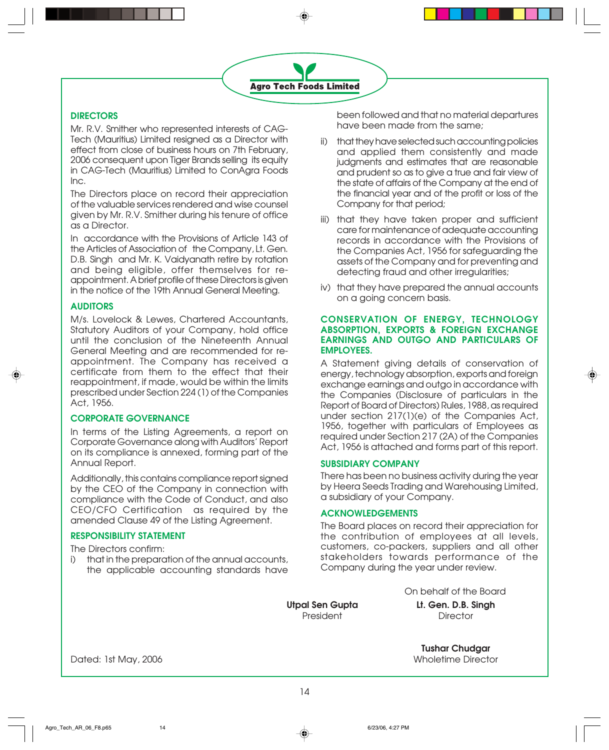#### **DIRECTORS**

Mr. R.V. Smither who represented interests of CAG-Tech (Mauritius) Limited resigned as a Director with effect from close of business hours on 7th February, 2006 consequent upon Tiger Brands selling its equity in CAG-Tech (Mauritius) Limited to ConAgra Foods Inc.

The Directors place on record their appreciation of the valuable services rendered and wise counsel given by Mr. R.V. Smither during his tenure of office as a Director.

In accordance with the Provisions of Article 143 of the Articles of Association of the Company, Lt. Gen. D.B. Singh and Mr. K. Vaidyanath retire by rotation and being eligible, offer themselves for reappointment. A brief profile of these Directors is given in the notice of the 19th Annual General Meeting.

#### **AUDITORS**

M/s. Lovelock & Lewes, Chartered Accountants, Statutory Auditors of your Company, hold office until the conclusion of the Nineteenth Annual General Meeting and are recommended for reappointment. The Company has received a certificate from them to the effect that their reappointment, if made, would be within the limits prescribed under Section 224 (1) of the Companies Act, 1956.

#### **CORPORATE GOVERNANCE**

In terms of the Listing Agreements, a report on Corporate Governance along with Auditors' Report on its compliance is annexed, forming part of the Annual Report.

Additionally, this contains compliance report signed by the CEO of the Company in connection with compliance with the Code of Conduct, and also CEO/CFO Certification as required by the amended Clause 49 of the Listing Agreement.

#### **RESPONSIBILITY STATEMENT**

The Directors confirm:

i) that in the preparation of the annual accounts, the applicable accounting standards have

been followed and that no material departures have been made from the same;

ii) that they have selected such accounting policies and applied them consistently and made judgments and estimates that are reasonable and prudent so as to give a true and fair view of the state of affairs of the Company at the end of the financial year and of the profit or loss of the Company for that period;

- iii) that they have taken proper and sufficient care for maintenance of adequate accounting records in accordance with the Provisions of the Companies Act, 1956 for safeguarding the assets of the Company and for preventing and detecting fraud and other irregularities;
- iv) that they have prepared the annual accounts on a going concern basis.

#### **CONSERVATION OF ENERGY, TECHNOLOGY ABSORPTION, EXPORTS & FOREIGN EXCHANGE EARNINGS AND OUTGO AND PARTICULARS OF EMPLOYEES.**

A Statement giving details of conservation of energy, technology absorption, exports and foreign exchange earnings and outgo in accordance with the Companies (Disclosure of particulars in the Report of Board of Directors) Rules, 1988, as required under section 217(1)(e) of the Companies Act, 1956, together with particulars of Employees as required under Section 217 (2A) of the Companies Act, 1956 is attached and forms part of this report.

#### **SUBSIDIARY COMPANY**

There has been no business activity during the year by Heera Seeds Trading and Warehousing Limited, a subsidiary of your Company.

#### **ACKNOWLEDGEMENTS**

The Board places on record their appreciation for the contribution of employees at all levels, customers, co-packers, suppliers and all other stakeholders towards performance of the Company during the year under review.

On behalf of the Board

**Utpal Sen Gupta Lt. Gen. D.B. Singh** President Director

**Tushar Chudgar**

Dated: 1st May, 2006 Wholetime Director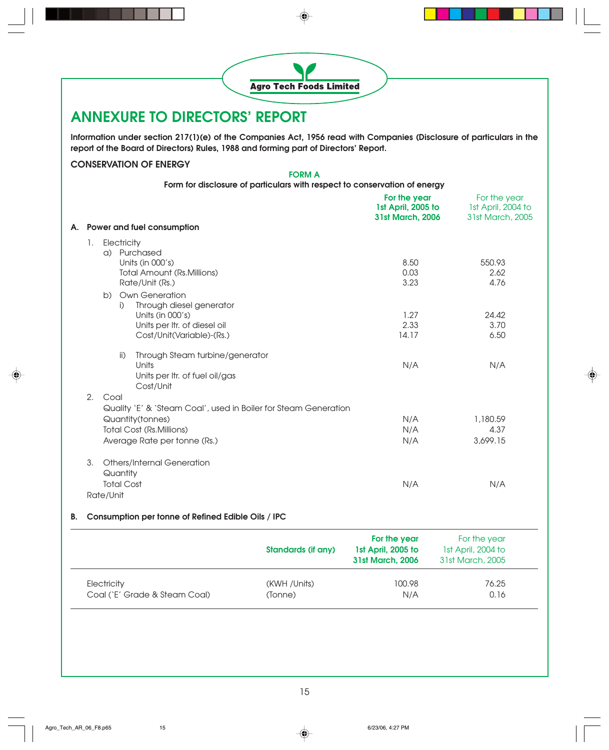

| LIGUIIUI Y                    | (IVVII/UIII3) | 100.70 | 7 U.ZU |
|-------------------------------|---------------|--------|--------|
| Coal (`E' Grade & Steam Coal) | (Tonne)       | N/A    | 0.16   |
|                               |               |        |        |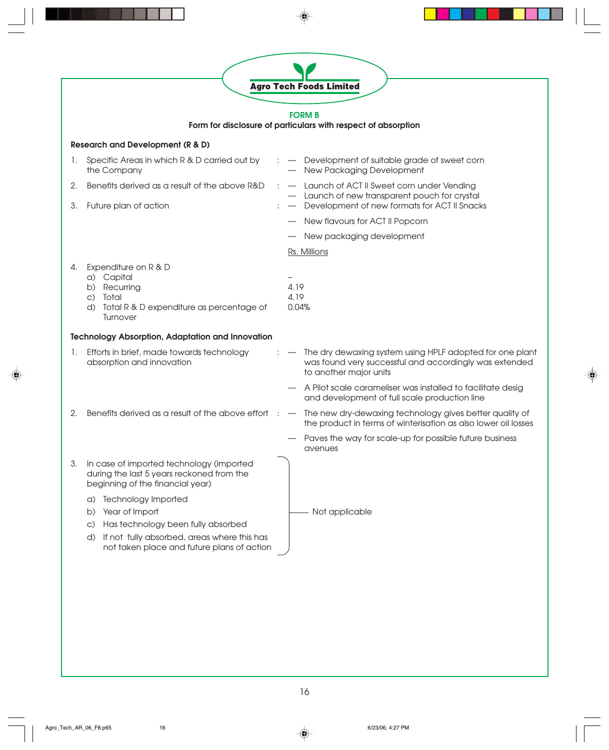| 1.<br>2.<br>З. | <b>Research and Development (R &amp; D)</b><br>Specific Areas in which R & D carried out by<br>the Company                | <b>FORM B</b><br>Form for disclosure of particulars with respect of absorption                                                                                   |
|----------------|---------------------------------------------------------------------------------------------------------------------------|------------------------------------------------------------------------------------------------------------------------------------------------------------------|
|                |                                                                                                                           |                                                                                                                                                                  |
|                |                                                                                                                           |                                                                                                                                                                  |
|                |                                                                                                                           | - Development of suitable grade of sweet corn<br>New Packaging Development                                                                                       |
|                | Benefits derived as a result of the above R&D<br>Future plan of action                                                    | Launch of ACT II Sweet corn under Vending<br>- Launch of new transparent pouch for crystal<br>- Development of new formats for ACT II Snacks                     |
|                |                                                                                                                           | New flavours for ACT II Popcorn                                                                                                                                  |
|                |                                                                                                                           | New packaging development                                                                                                                                        |
|                |                                                                                                                           | Rs. Millions                                                                                                                                                     |
| 4.             | Expenditure on R & D<br>a) Capital<br>b) Recurring<br>c) Total<br>d) Total R & D expenditure as percentage of<br>Turnover | 4.19<br>4.19<br>0.04%                                                                                                                                            |
|                | <b>Technology Absorption, Adaptation and Innovation</b>                                                                   |                                                                                                                                                                  |
| 1.             | Efforts in brief, made towards technology<br>absorption and innovation                                                    | The dry dewaxing system using HPLF adopted for one plant<br>$\hspace{0.1cm}$<br>was found very successful and accordingly was extended<br>to another major units |
|                |                                                                                                                           | A Pilot scale carameliser was installed to facilitate desig<br>and development of full scale production line                                                     |
| 2.             | Benefits derived as a result of the above effort                                                                          | The new dry-dewaxing technology gives better quality of<br>the product in terms of winterisation as also lower oil losses                                        |
|                |                                                                                                                           | Paves the way for scale-up for possible future business<br>avenues                                                                                               |
| 3.             | In case of imported technology (imported<br>during the last 5 years reckoned from the<br>beginning of the financial year) |                                                                                                                                                                  |
|                | Technology Imported<br>a)<br>Year of Import<br>b)<br>Has technology been fully absorbed<br>$\mathsf{C}$                   | Not applicable                                                                                                                                                   |
|                | If not fully absorbed, areas where this has<br>d)<br>not taken place and future plans of action                           |                                                                                                                                                                  |

 $\equiv$ 

 $\equiv$ 

 $\begin{array}{c} \hline \end{array}$ 

 $\overline{\bullet}$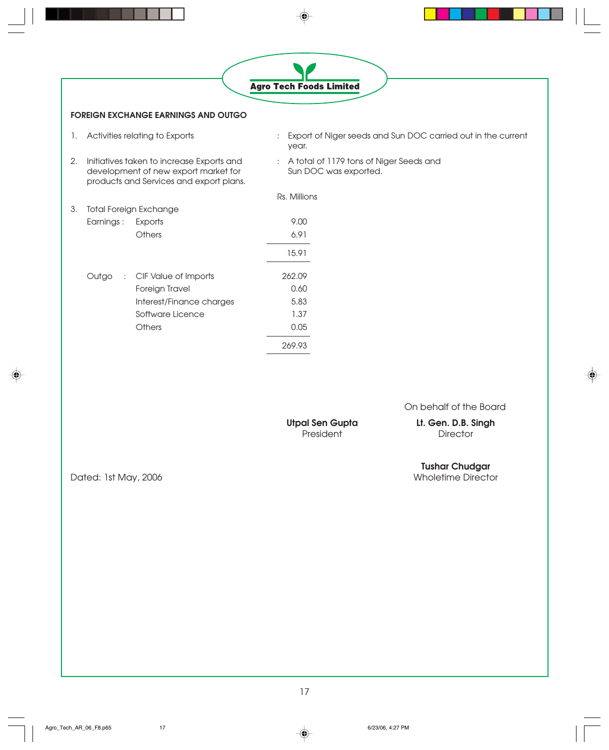|                                                                                                                                    | <b>Agro Tech Foods Limited</b>                                        |
|------------------------------------------------------------------------------------------------------------------------------------|-----------------------------------------------------------------------|
| <b>FOREIGN EXCHANGE EARNINGS AND OUTGO</b>                                                                                         |                                                                       |
| Activities relating to Exports<br>1.                                                                                               | Export of Niger seeds and Sun DOC carried out in the current<br>year. |
| Initiatives taken to increase Exports and<br>2.<br>development of new export market for<br>products and Services and export plans. | A total of 1179 tons of Niger Seeds and<br>Sun DOC was exported.      |
|                                                                                                                                    | Rs. Millions                                                          |
| <b>Total Foreign Exchange</b><br>3.                                                                                                |                                                                       |
| Earnings :<br>Exports                                                                                                              | 9.00                                                                  |
| Others                                                                                                                             | 6.91                                                                  |
|                                                                                                                                    | 15.91                                                                 |
| Outgo<br>: CIF Value of Imports                                                                                                    | 262.09                                                                |
| Foreign Travel                                                                                                                     | 0.60                                                                  |
| Interest/Finance charges                                                                                                           | 5.83                                                                  |
| Software Licence                                                                                                                   | 1.37                                                                  |
| Others                                                                                                                             | 0.05                                                                  |
|                                                                                                                                    | 269.93                                                                |
|                                                                                                                                    |                                                                       |

◈

On behalf of the Board

Utpal Sen Gupta<br>President

**Lt. Gen. D.B. Singh**<br>Director

♠

**Tushar Chudgar**

Dated: 1st May, 2006

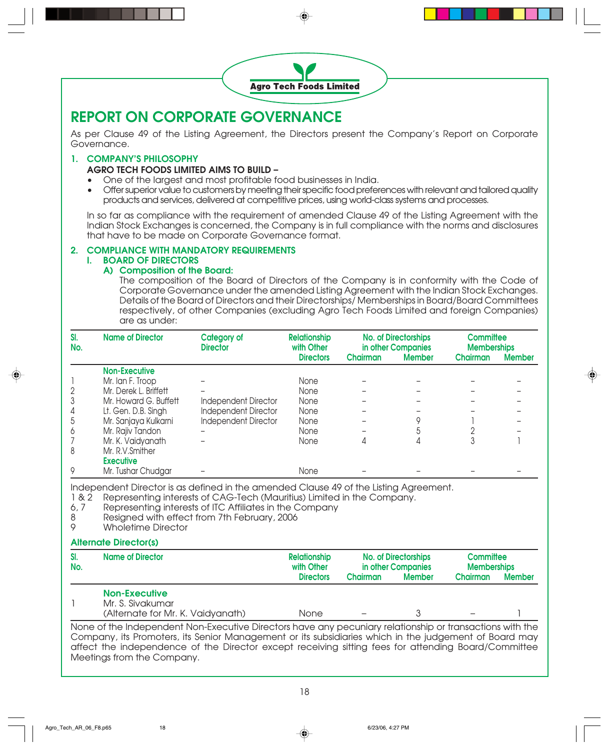

### **REPORT ON CORPORATE GOVERNANCE**

As per Clause 49 of the Listing Agreement, the Directors present the Company's Report on Corporate Governance.

#### **1. COMPANY'S PHILOSOPHY**

#### **AGRO TECH FOODS LIMITED AIMS TO BUILD –**

- One of the largest and most profitable food businesses in India.
- Offer superior value to customers by meeting their specific food preferences with relevant and tailored quality products and services, delivered at competitive prices, using world-class systems and processes.

In so far as compliance with the requirement of amended Clause 49 of the Listing Agreement with the Indian Stock Exchanges is concerned, the Company is in full compliance with the norms and disclosures that have to be made on Corporate Governance format.

#### **2. COMPLIANCE WITH MANDATORY REQUIREMENTS I. BOARD OF DIRECTORS**

#### **A) Composition of the Board:**

The composition of the Board of Directors of the Company is in conformity with the Code of Corporate Governance under the amended Listing Agreement with the Indian Stock Exchanges. Details of the Board of Directors and their Directorships/ Memberships in Board/Board Committees respectively, of other Companies (excluding Agro Tech Foods Limited and foreign Companies) are as under:

| SI.<br>No.     | <b>Name of Director</b> | <b>Category of</b><br><b>Director</b> | <b>Relationship</b><br>with Other | <b>No. of Directorships</b><br>in other Companies |               | <b>Committee</b><br><b>Memberships</b> |               |
|----------------|-------------------------|---------------------------------------|-----------------------------------|---------------------------------------------------|---------------|----------------------------------------|---------------|
|                |                         |                                       | <b>Directors</b>                  | Chairman                                          | <b>Member</b> | Chairman                               | <b>Member</b> |
|                | <b>Non-Executive</b>    |                                       |                                   |                                                   |               |                                        |               |
|                | Mr. Ian F. Troop        |                                       | None                              |                                                   |               |                                        |               |
| $\overline{2}$ | Mr. Derek L. Briffett   |                                       | None                              |                                                   |               |                                        |               |
| 3              | Mr. Howard G. Buffett   | Independent Director                  | None                              |                                                   |               |                                        |               |
| 4              | Lt. Gen. D.B. Singh     | <b>Independent Director</b>           | None                              |                                                   |               |                                        |               |
| 5              | Mr. Sanjaya Kulkarni    | Independent Director                  | None                              |                                                   |               |                                        |               |
| 6              | Mr. Rajiv Tandon        |                                       | None                              |                                                   |               |                                        |               |
|                | Mr. K. Vaidyanath       |                                       | None                              |                                                   | 4             | 3                                      |               |
| 8              | Mr. R.V.Smither         |                                       |                                   |                                                   |               |                                        |               |
|                | <b>Executive</b>        |                                       |                                   |                                                   |               |                                        |               |
| 9              | Mr. Tushar Chudgar      |                                       | None                              |                                                   |               |                                        |               |

Independent Director is as defined in the amended Clause 49 of the Listing Agreement.<br>1 & 2 Representing interests of CAG-Tech (Mauritius) Limited in the Company.

- Representing interests of CAG-Tech (Mauritius) Limited in the Company.
- 6, 7 Representing interests of ITC Affiliates in the Company
- 8 Resigned with effect from 7th February, 2006<br>9 Wholetime Director
- Wholetime Director

#### **Alternate Director(s)**

| SI.<br>No. | <b>Name of Director</b>                  | <b>Relationship</b><br>with Other | <b>No. of Directorships</b><br>in other Companies |               | <b>Committee</b><br><b>Memberships</b> |               |
|------------|------------------------------------------|-----------------------------------|---------------------------------------------------|---------------|----------------------------------------|---------------|
|            |                                          | <b>Directors</b>                  | <b>Chairman</b>                                   | <b>Member</b> | <b>Chairman</b>                        | <b>Member</b> |
|            | <b>Non-Executive</b><br>Mr. S. Sivakumar |                                   |                                                   |               |                                        |               |
|            | (Alternate for Mr. K. Vaidyanath)        | None                              |                                                   |               | -                                      |               |

None of the Independent Non-Executive Directors have any pecuniary relationship or transactions with the Company, its Promoters, its Senior Management or its subsidiaries which in the judgement of Board may affect the independence of the Director except receiving sitting fees for attending Board/Committee Meetings from the Company.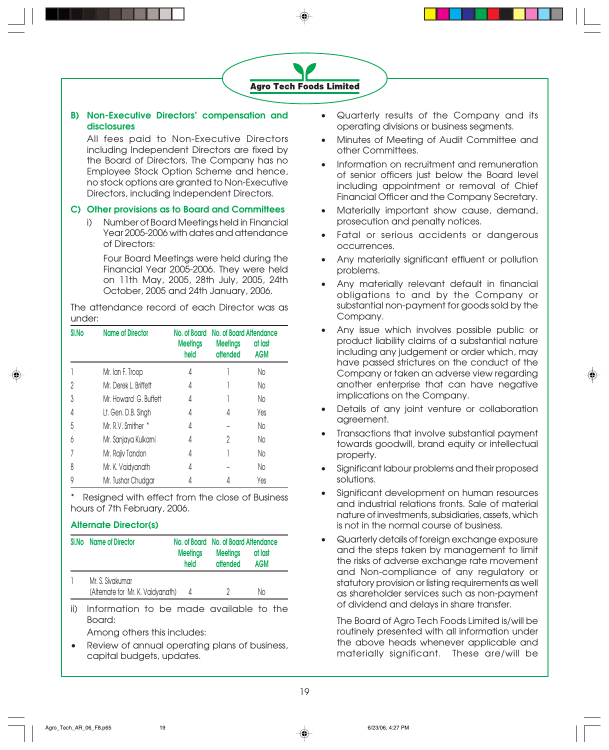#### **B) Non-Executive Directors' compensation and disclosures**

All fees paid to Non-Executive Directors including Independent Directors are fixed by the Board of Directors. The Company has no Employee Stock Option Scheme and hence, no stock options are granted to Non-Executive Directors, including Independent Directors.

#### **C) Other provisions as to Board and Committees**

i) Number of Board Meetings held in Financial Year 2005-2006 with dates and attendance of Directors:

Four Board Meetings were held during the Financial Year 2005-2006. They were held on 11th May, 2005, 28th July, 2005, 24th October, 2005 and 24th January, 2006.

The attendance record of each Director was as under:

| SI.No | <b>Name of Director</b> | No. of Board<br><b>Meetings</b><br>held | No. of Board Attendance<br><b>Meetings</b><br>attended | at last<br><b>AGM</b> |
|-------|-------------------------|-----------------------------------------|--------------------------------------------------------|-----------------------|
|       | Mr. Ian F. Troop        | 4                                       |                                                        | No                    |
| 2     | Mr. Derek L. Briffett   | 4                                       |                                                        | No                    |
| 3     | Mr. Howard G. Buffett   | 4                                       |                                                        | No                    |
| 4     | Lt. Gen. D.B. Singh     | 4                                       | 4                                                      | Yes                   |
| 5     | Mr. R.V. Smither *      | 4                                       |                                                        | No                    |
| 6     | Mr. Sanjaya Kulkarni    | 4                                       | 2                                                      | No                    |
|       | Mr. Rajiv Tandon        | 4                                       |                                                        | No                    |
| 8     | Mr. K. Vaidyanath       | 4                                       |                                                        | No                    |
| 9     | Mr. Tushar Chudgar      | 4                                       |                                                        | Yes                   |

Resigned with effect from the close of Business hours of 7th February, 2006.

#### **Alternate Director(s)**

| SI.No | <b>Name of Director</b>                               |                         | No. of Board No. of Board Attendance |                       |  |
|-------|-------------------------------------------------------|-------------------------|--------------------------------------|-----------------------|--|
|       |                                                       | <b>Meetings</b><br>held | <b>Meetings</b><br>attended          | at last<br><b>AGM</b> |  |
|       | Mr. S. Sivakumar<br>(Alternate for Mr. K. Vaidyanath) | 4                       |                                      | Νo                    |  |
|       |                                                       |                         |                                      |                       |  |

ii) Information to be made available to the Board:

Among others this includes:

• Review of annual operating plans of business, capital budgets, updates.

- Quarterly results of the Company and its operating divisions or business segments.
- Minutes of Meeting of Audit Committee and other Committees.
- Information on recruitment and remuneration of senior officers just below the Board level including appointment or removal of Chief Financial Officer and the Company Secretary.
- Materially important show cause, demand, prosecution and penalty notices.
- Fatal or serious accidents or dangerous occurrences.
- Any materially significant effluent or pollution problems.
- Any materially relevant default in financial obligations to and by the Company or substantial non-payment for goods sold by the Company.
- Any issue which involves possible public or product liability claims of a substantial nature including any judgement or order which, may have passed strictures on the conduct of the Company or taken an adverse view regarding another enterprise that can have negative implications on the Company.
- Details of any joint venture or collaboration agreement.
- Transactions that involve substantial payment towards goodwill, brand equity or intellectual property.
- Significant labour problems and their proposed solutions.
- Significant development on human resources and industrial relations fronts. Sale of material nature of investments, subsidiaries, assets, which is not in the normal course of business.
- Quarterly details of foreign exchange exposure and the steps taken by management to limit the risks of adverse exchange rate movement and Non-compliance of any regulatory or statutory provision or listing requirements as well as shareholder services such as non-payment of dividend and delays in share transfer.

The Board of Agro Tech Foods Limited is/will be routinely presented with all information under the above heads whenever applicable and materially significant. These are/will be